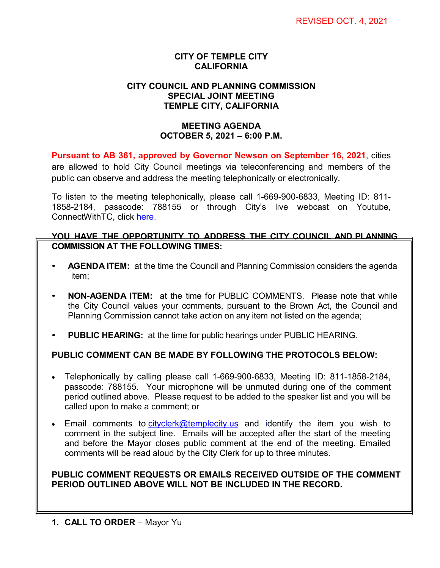## **CITY OF TEMPLE CITY CALIFORNIA**

#### **CITY COUNCIL AND PLANNING COMMISSION SPECIAL JOINT MEETING TEMPLE CITY, CALIFORNIA**

### **MEETING AGENDA OCTOBER 5, 2021 – 6:00 P.M.**

**Pursuant to AB 361, approved by Governor Newson on September 16, 2021**, cities are allowed to hold City Council meetings via teleconferencing and members of the public can observe and address the meeting telephonically or electronically.

To listen to the meeting telephonically, please call 1-669-900-6833, Meeting ID: 811- 1858-2184, passcode: 788155 or through City's live webcast on Youtube, ConnectWithTC, click [here.](https://www.ci.temple-city.ca.us/516/Meeting-Webcast)

#### **YOU HAVE THE OPPORTUNITY TO ADDRESS THE CITY COUNCIL AND PLANNING COMMISSION AT THE FOLLOWING TIMES:**

- **AGENDA ITEM:** at the time the Council and Planning Commission considers the agenda item;
- **NON-AGENDA ITEM:** at the time for PUBLIC COMMENTS. Please note that while the City Council values your comments, pursuant to the Brown Act, the Council and Planning Commission cannot take action on any item not listed on the agenda;
- **PUBLIC HEARING:** at the time for public hearings under PUBLIC HEARING.

# **PUBLIC COMMENT CAN BE MADE BY FOLLOWING THE PROTOCOLS BELOW:**

- Telephonically by calling please call 1-669-900-6833, Meeting ID: 811-1858-2184, passcode: 788155. Your microphone will be unmuted during one of the comment period outlined above. Please request to be added to the speaker list and you will be called upon to make a comment; or
- Email comments to [cityclerk@templecity.us](mailto:cityclerk@templecity.us) and identify the item you wish to comment in the subject line. Emails will be accepted after the start of the meeting and before the Mayor closes public comment at the end of the meeting. Emailed comments will be read aloud by the City Clerk for up to three minutes.

## **PUBLIC COMMENT REQUESTS OR EMAILS RECEIVED OUTSIDE OF THE COMMENT PERIOD OUTLINED ABOVE WILL NOT BE INCLUDED IN THE RECORD.**